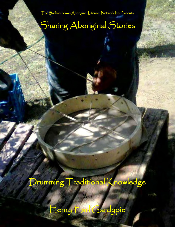The Saskatchewan Aboriginal Literacy Network Inc. Presents

# Sharing Aboriginal Stories

Ķ

Ĭ

J

Í

١

# Drumming Traditional Knowledge

With

Henry Earl Gardypie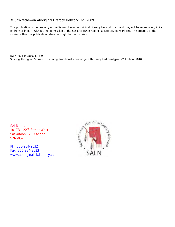### © Saskatchewan Aboriginal Literacy Network Inc. 2009.

This publication is the property of the Saskatchewan Aboriginal Literacy Network Inc., and may not be reproduced, in its entirety or in part, without the permission of the Saskatchewan Aboriginal Literacy Network Inc. The creators of the stories within this publication retain copyright to their stories.

ISBN: 978-0-9810147-3-9 Sharing Aboriginal Stories: Drumming Traditional Knowledge with Henry Earl Gardypie. 2<sup>nd</sup> Edition, 2010.

SALN Inc. 1017B - 22<sup>nd</sup> Street West Saskatoon, SK. Canada S7M-0S2

PH: 306-934-2632 Fax: 306-934-2633 www.aboriginal.sk.literacy.ca

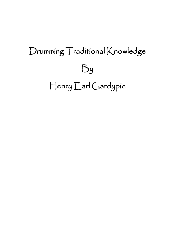# Drumming Traditional Knowledge By Henry Earl Gardypie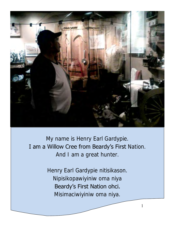

My name is Henry Earl Gardypie. I am a Willow Cree from Beardy's First Nation. And I am a great hunter.

> Henry Earl Gardypie nitisikason. Nipisikopawiyiniw oma niya Beardy's First Nation ohci. Misimaciwiyiniw oma niya.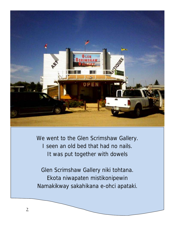

We went to the Glen Scrimshaw Gallery. I seen an old bed that had no nails. It was put together with dowels

Glen Scrimshaw Gallery niki tohtana. Ekota niwapaten mistikonipewin Namakikway sakahikana e-ohci apataki.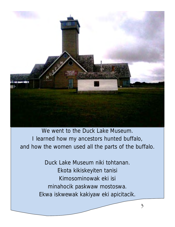

We went to the Duck Lake Museum. I learned how my ancestors hunted buffalo, and how the women used all the parts of the buffalo.

> Duck Lake Museum niki tohtanan. Ekota kikiskeyiten tanisi Kimosominowak eki isi minahocik paskwaw mostoswa. Ekwa iskwewak kakiyaw eki apicitacik.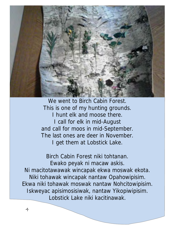

We went to Birch Cabin Forest. This is one of my hunting grounds. I hunt elk and moose there. I call for elk in mid-August and call for moos in mid-September. The last ones are deer in November. I get them at Lobstick Lake.

Birch Cabin Forest niki tohtanan. Ewako peyak ni macaw askis. Ni macitotawawak wincapak ekwa moswak ekota. Niki tohawak wincapak nantaw Opahowipisim. Ekwa niki tohawak moswak nantaw Nohcitowipisim. Iskweyac apisimosisiwak, nantaw Yikopiwipisim. Lobstick Lake niki kacitinawak.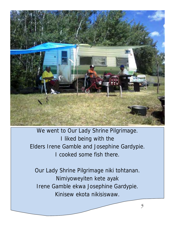

We went to Our Lady Shrine Pilgrimage. I liked being with the Elders Irene Gamble and Josephine Gardypie. I cooked some fish there.

Our Lady Shrine Pilgrimage niki tohtanan. Nimiyoweyiten kete ayak Irene Gamble ekwa Josephine Gardypie. Kinisew ekota nikisiswaw.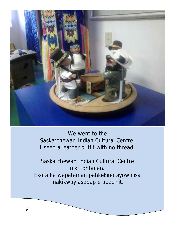

We went to the Saskatchewan Indian Cultural Centre. I seen a leather outfit with no thread.

Saskatchewan Indian Cultural Centre niki tohtanan. Ekota ka wapataman pahkekino ayowinisa makikway asapap e apacihit.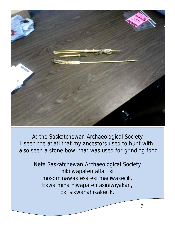

At the Saskatchewan Archaeological Society I seen the atlatl that my ancestors used to hunt with. I also seen a stone bowl that was used for grinding food.

> Nete Saskatchewan Archaeological Society niki wapaten atlatl ki mosominawak esa eki maciwakecik. Ekwa mina niwapaten asiniwiyakan, Eki sikwahahikakecik.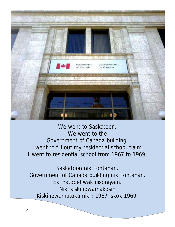

We went to Saskatoon. We went to the Government of Canada building. I went to fill out my residential school claim. I went to residential school from 1967 to 1969.

Saskatoon niki tohtanan. Government of Canada building niki tohtanan. Eki natopehwak nisoniyam. Niki kiskinowamakosin Kiskinowamatokamikik 1967 iskok 1969.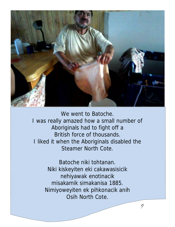

We went to Batoche. I was really amazed how a small number of Aboriginals had to fight off a British force of thousands. I liked it when the Aboriginals disabled the Steamer North Cote.

> Batoche niki tohtanan. Niki kiskeyiten eki cakawasisicik nehiyawak enotinacik misakamik simakanisa 1885. Nimiyoweyiten ek pihkonacik anih Osih North Cote.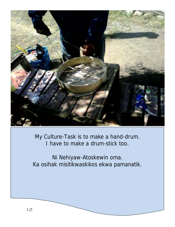

My Culture-Task is to make a hand-drum. I have to make a drum-stick too.

Ni Nehiyaw-Atoskewin oma. Ka osihak misitikwaskikos ekwa pamanatik.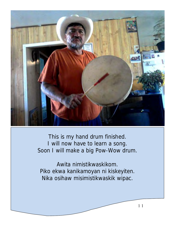

This is my hand drum finished. I will now have to learn a song. Soon I will make a big Pow-Wow drum.

Awita nimistikwaskikom. Piko ekwa kanikamoyan ni kiskeyiten. Nika osihaw misimistikwaskik wipac.